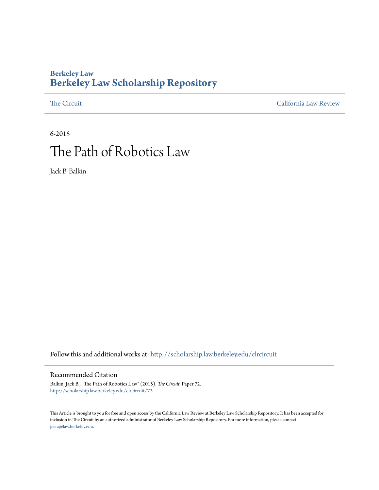### **Berkeley Law [Berkeley Law Scholarship Repository](http://scholarship.law.berkeley.edu?utm_source=scholarship.law.berkeley.edu%2Fclrcircuit%2F72&utm_medium=PDF&utm_campaign=PDFCoverPages)**

[The Circuit](http://scholarship.law.berkeley.edu/clrcircuit?utm_source=scholarship.law.berkeley.edu%2Fclrcircuit%2F72&utm_medium=PDF&utm_campaign=PDFCoverPages) [California Law Review](http://scholarship.law.berkeley.edu/clr?utm_source=scholarship.law.berkeley.edu%2Fclrcircuit%2F72&utm_medium=PDF&utm_campaign=PDFCoverPages) California Law Review California Law Review California Law Review California Law Review California Law Review California Law Review California Law Review California Law Review California L

# 6-2015 The Path of Robotics Law

Jack B. Balkin

Follow this and additional works at: [http://scholarship.law.berkeley.edu/clrcircuit](http://scholarship.law.berkeley.edu/clrcircuit?utm_source=scholarship.law.berkeley.edu%2Fclrcircuit%2F72&utm_medium=PDF&utm_campaign=PDFCoverPages)

#### Recommended Citation

Balkin, Jack B., "The Path of Robotics Law" (2015). *The Circuit.* Paper 72. [http://scholarship.law.berkeley.edu/clrcircuit/72](http://scholarship.law.berkeley.edu/clrcircuit/72?utm_source=scholarship.law.berkeley.edu%2Fclrcircuit%2F72&utm_medium=PDF&utm_campaign=PDFCoverPages)

This Article is brought to you for free and open access by the California Law Review at Berkeley Law Scholarship Repository. It has been accepted for inclusion in The Circuit by an authorized administrator of Berkeley Law Scholarship Repository. For more information, please contact [jcera@law.berkeley.edu](mailto:jcera@law.berkeley.edu).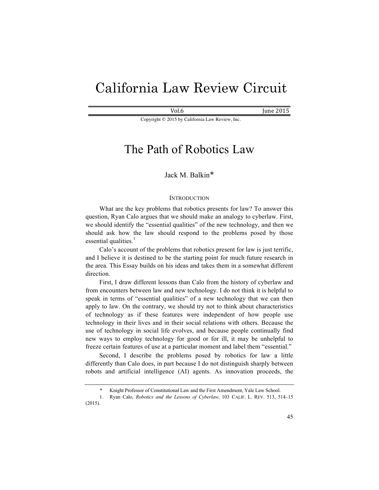# California Law Review Circuit

 $Vol.6$  June 2015

Copyright © 2015 by California Law Review, Inc.

## The Path of Robotics Law

### Jack M. Balkin\*

#### **INTRODUCTION**

What are the key problems that robotics presents for law? To answer this question, Ryan Calo argues that we should make an analogy to cyberlaw. First, we should identify the "essential qualities" of the new technology, and then we should ask how the law should respond to the problems posed by those essential qualities. $<sup>1</sup>$ </sup>

Calo's account of the problems that robotics present for law is just terrific, and I believe it is destined to be the starting point for much future research in the area. This Essay builds on his ideas and takes them in a somewhat different direction.

First, I draw different lessons than Calo from the history of cyberlaw and from encounters between law and new technology. I do not think it is helpful to speak in terms of "essential qualities" of a new technology that we can then apply to law. On the contrary, we should try not to think about characteristics of technology as if these features were independent of how people use technology in their lives and in their social relations with others. Because the use of technology in social life evolves, and because people continually find new ways to employ technology for good or for ill, it may be unhelpful to freeze certain features of use at a particular moment and label them "essential."

Second, I describe the problems posed by robotics for law a little differently than Calo does, in part because I do not distinguish sharply between robots and artificial intelligence (AI) agents. As innovation proceeds, the

Knight Professor of Constitutional Law and the First Amendment, Yale Law School.

<sup>1.</sup> Ryan Calo, *Robotics and the Lessons of Cyberlaw*, 103 CALIF. L. REV. 513, 514–15 (2015).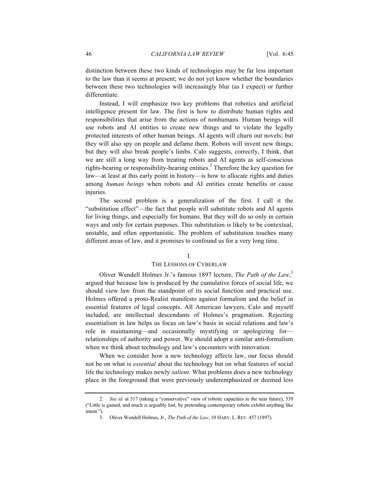distinction between these two kinds of technologies may be far less important to the law than it seems at present; we do not yet know whether the boundaries between these two technologies will increasingly blur (as I expect) or further differentiate.

Instead, I will emphasize two key problems that robotics and artificial intelligence present for law. The first is how to distribute human rights and responsibilities that arise from the actions of nonhumans. Human beings will use robots and AI entities to create new things and to violate the legally protected interests of other human beings. AI agents will churn out novels; but they will also spy on people and defame them. Robots will invent new things; but they will also break people's limbs. Calo suggests, correctly, I think, that we are still a long way from treating robots and AI agents as self-conscious rights-bearing or responsibility-bearing entities.<sup>2</sup> Therefore the key question for law—at least at this early point in history—is how to allocate rights and duties among *human beings* when robots and AI entities create benefits or cause injuries.

The second problem is a generalization of the first. I call it the "substitution effect"—the fact that people will substitute robots and AI agents for living things, and especially for humans. But they will do so only in certain ways and only for certain purposes. This substitution is likely to be contextual, unstable, and often opportunistic. The problem of substitution touches many different areas of law, and it promises to confound us for a very long time.

#### I.

#### THE LESSONS OF CYBERLAW

Oliver Wendell Holmes Jr.'s famous 1897 lecture, *The Path of the Law*, 3 argued that because law is produced by the cumulative forces of social life, we should view law from the standpoint of its social function and practical use. Holmes offered a proto-Realist manifesto against formalism and the belief in essential features of legal concepts. All American lawyers, Calo and myself included, are intellectual descendants of Holmes's pragmatism. Rejecting essentialism in law helps us focus on law's basis in social relations and law's role in maintaining—and occasionally mystifying or apologizing for relationships of authority and power. We should adopt a similar anti-formalism when we think about technology and law's encounters with innovation.

When we consider how a new technology affects law, our focus should not be on what is *essential* about the technology but on what features of social life the technology makes newly *salient*. What problems does a new technology place in the foreground that were previously underemphasized or deemed less

<sup>2.</sup> *See id.* at 517 (taking a "conservative" view of robotic capacities in the near future), 539 ("Little is gained, and much is arguably lost, by pretending contemporary robots exhibit anything like intent.").

<sup>3.</sup> Oliver Wendell Holmes, Jr., *The Path of the Law*, 10 HARV. L. REV. 457 (1897).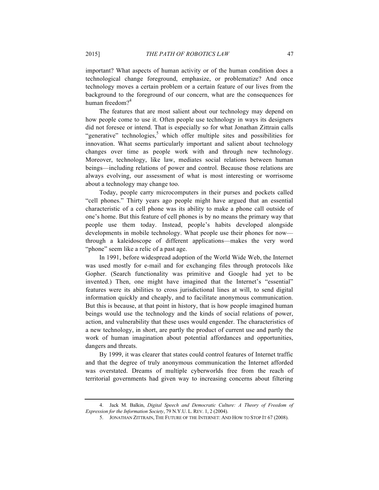important? What aspects of human activity or of the human condition does a technological change foreground, emphasize, or problematize? And once technology moves a certain problem or a certain feature of our lives from the background to the foreground of our concern, what are the consequences for human freedom $2^4$ 

The features that are most salient about our technology may depend on how people come to use it. Often people use technology in ways its designers did not foresee or intend. That is especially so for what Jonathan Zittrain calls "generative" technologies, $5$  which offer multiple sites and possibilities for innovation. What seems particularly important and salient about technology changes over time as people work with and through new technology. Moreover, technology, like law, mediates social relations between human beings—including relations of power and control. Because those relations are always evolving, our assessment of what is most interesting or worrisome about a technology may change too.

Today, people carry microcomputers in their purses and pockets called "cell phones." Thirty years ago people might have argued that an essential characteristic of a cell phone was its ability to make a phone call outside of one's home. But this feature of cell phones is by no means the primary way that people use them today. Instead, people's habits developed alongside developments in mobile technology. What people use their phones for now through a kaleidoscope of different applications—makes the very word "phone" seem like a relic of a past age.

In 1991, before widespread adoption of the World Wide Web, the Internet was used mostly for e-mail and for exchanging files through protocols like Gopher. (Search functionality was primitive and Google had yet to be invented.) Then, one might have imagined that the Internet's "essential" features were its abilities to cross jurisdictional lines at will, to send digital information quickly and cheaply, and to facilitate anonymous communication. But this is because, at that point in history, that is how people imagined human beings would use the technology and the kinds of social relations of power, action, and vulnerability that these uses would engender. The characteristics of a new technology, in short, are partly the product of current use and partly the work of human imagination about potential affordances and opportunities, dangers and threats.

By 1999, it was clearer that states could control features of Internet traffic and that the degree of truly anonymous communication the Internet afforded was overstated. Dreams of multiple cyberworlds free from the reach of territorial governments had given way to increasing concerns about filtering

<sup>4.</sup> Jack M. Balkin, *Digital Speech and Democratic Culture: A Theory of Freedom of Expression for the Information Society*, 79 N.Y.U. L. REV. 1, 2 (2004).

<sup>5.</sup> JONATHAN ZITTRAIN, THE FUTURE OF THE INTERNET: AND HOW TO STOP IT 67 (2008).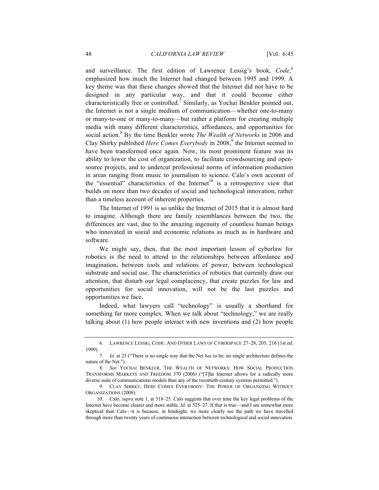and surveillance. The first edition of Lawrence Lessig's book, Code,<sup>6</sup> emphasized how much the Internet had changed between 1995 and 1999. A key theme was that these changes showed that the Internet did not have to be designed in any particular way, and that it could become either characteristically free or controlled.<sup>7</sup> Similarly, as Yochai Benkler pointed out, the Internet is not a single medium of communication—whether one-to-many or many-to-one or many-to-many—but rather a platform for creating multiple media with many different characteristics, affordances, and opportunities for social action.<sup>8</sup> By the time Benkler wrote *The Wealth of Networks* in 2006 and Clay Shirky published *Here Comes Everybody* in 2008,<sup>9</sup> the Internet seemed to have been transformed once again. Now, its most prominent feature was its ability to lower the cost of organization, to facilitate crowdsourcing and opensource projects, and to undercut professional norms of information production in areas ranging from music to journalism to science. Calo's own account of the "essential" characteristics of the Internet<sup>10</sup> is a retrospective view that builds on more than two decades of social and technological innovation, rather than a timeless account of inherent properties.

The Internet of 1991 is so unlike the Internet of 2015 that it is almost hard to imagine. Although there are family resemblances between the two, the differences are vast, due to the amazing ingenuity of countless human beings who innovated in social and economic relations as much as in hardware and software.

We might say, then, that the most important lesson of cyberlaw for robotics is the need to attend to the relationships between affordance and imagination, between tools and relations of power, between technological substrate and social use. The characteristics of robotics that currently draw our attention, that disturb our legal complacency, that create puzzles for law and opportunities for social innovation, will not be the last puzzles and opportunities we face.

Indeed, what lawyers call "technology" is usually a shorthand for something far more complex. When we talk about "technology," we are really talking about (1) how people interact with new inventions and (2) how people

<sup>6.</sup> LAWRENCE LESSIG, CODE: AND OTHER LAWS OF CYBERSPACE 27–28, 205, 216 (1st ed. 1999).

<sup>7</sup>*. Id.* at 25 ("There is no single way that the Net *has* to be; no single architecture defines the nature of the Net.").

<sup>8</sup>*. See* YOCHAI BENKLER, THE WEALTH OF NETWORKS: HOW SOCIAL PRODUCTION TRANSFORMS MARKETS AND FREEDOM 370 (2006) ("[T]he Internet allows for a radically more diverse suite of communications models than any of the twentieth-century systems permitted.").

<sup>9.</sup> CLAY SHIRKY, HERE COMES EVERYBODY: THE POWER OF ORGANIZING WITHOUT ORGANIZATIONS (2008).

<sup>10.</sup> Calo, *supra* note 1, at 518–25. Calo suggests that over time the key legal problems of the Internet have become clearer and more stable. *Id.* at 525–27. If that is true—and I am somewhat more skeptical than Calo—it is because, in hindsight, we more clearly see the path we have travelled through more than twenty years of continuous interaction between technological and social innovation.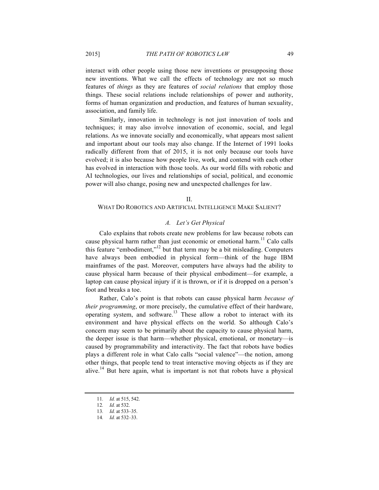interact with other people using those new inventions or presupposing those new inventions. What we call the effects of technology are not so much features of *things* as they are features of *social relations* that employ those things. These social relations include relationships of power and authority, forms of human organization and production, and features of human sexuality, association, and family life.

Similarly, innovation in technology is not just innovation of tools and techniques; it may also involve innovation of economic, social, and legal relations. As we innovate socially and economically, what appears most salient and important about our tools may also change. If the Internet of 1991 looks radically different from that of 2015, it is not only because our tools have evolved; it is also because how people live, work, and contend with each other has evolved in interaction with those tools. As our world fills with robotic and AI technologies, our lives and relationships of social, political, and economic power will also change, posing new and unexpected challenges for law.

 $II$ .

#### WHAT DO ROBOTICS AND ARTIFICIAL INTELLIGENCE MAKE SALIENT?

#### *A. Let's Get Physical*

Calo explains that robots create new problems for law because robots can cause physical harm rather than just economic or emotional harm.<sup>11</sup> Calo calls this feature "embodiment,"<sup>12</sup> but that term may be a bit misleading. Computers have always been embodied in physical form—think of the huge IBM mainframes of the past. Moreover, computers have always had the ability to cause physical harm because of their physical embodiment—for example, a laptop can cause physical injury if it is thrown, or if it is dropped on a person's foot and breaks a toe.

Rather, Calo's point is that robots can cause physical harm *because of their programming*, or more precisely, the cumulative effect of their hardware, operating system, and software.13 These allow a robot to interact with its environment and have physical effects on the world. So although Calo's concern may seem to be primarily about the capacity to cause physical harm, the deeper issue is that harm—whether physical, emotional, or monetary—is caused by programmability and interactivity. The fact that robots have bodies plays a different role in what Calo calls "social valence"—the notion, among other things, that people tend to treat interactive moving objects as if they are alive.<sup>14</sup> But here again, what is important is not that robots have a physical

<sup>11</sup>*. Id.* at 515, 542.

<sup>12</sup>*. Id.* at 532.

<sup>13</sup>*. Id.* at 533–35.

<sup>14</sup>*. Id.* at 532–33.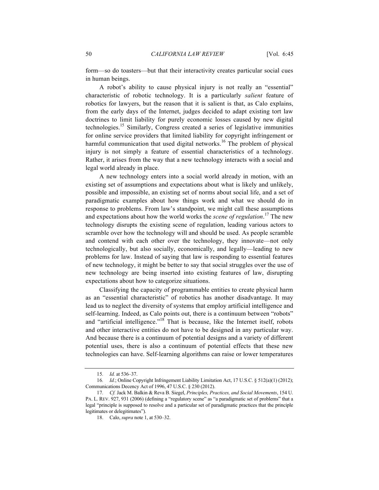form—so do toasters—but that their interactivity creates particular social cues in human beings.

A robot's ability to cause physical injury is not really an "essential" characteristic of robotic technology. It is a particularly *salient* feature of robotics for lawyers, but the reason that it is salient is that, as Calo explains, from the early days of the Internet, judges decided to adapt existing tort law doctrines to limit liability for purely economic losses caused by new digital technologies.<sup>15</sup> Similarly, Congress created a series of legislative immunities for online service providers that limited liability for copyright infringement or harmful communication that used digital networks.<sup>16</sup> The problem of physical injury is not simply a feature of essential characteristics of a technology. Rather, it arises from the way that a new technology interacts with a social and legal world already in place.

A new technology enters into a social world already in motion, with an existing set of assumptions and expectations about what is likely and unlikely, possible and impossible, an existing set of norms about social life, and a set of paradigmatic examples about how things work and what we should do in response to problems. From law's standpoint, we might call these assumptions and expectations about how the world works the *scene of regulation*. <sup>17</sup> The new technology disrupts the existing scene of regulation, leading various actors to scramble over how the technology will and should be used. As people scramble and contend with each other over the technology, they innovate—not only technologically, but also socially, economically, and legally—leading to new problems for law. Instead of saying that law is responding to essential features of new technology, it might be better to say that social struggles over the use of new technology are being inserted into existing features of law, disrupting expectations about how to categorize situations.

Classifying the capacity of programmable entities to create physical harm as an "essential characteristic" of robotics has another disadvantage. It may lead us to neglect the diversity of systems that employ artificial intelligence and self-learning. Indeed, as Calo points out, there is a continuum between "robots" and "artificial intelligence."<sup>18</sup> That is because, like the Internet itself, robots and other interactive entities do not have to be designed in any particular way. And because there is a continuum of potential designs and a variety of different potential uses, there is also a continuum of potential effects that these new technologies can have. Self-learning algorithms can raise or lower temperatures

<sup>15</sup>*. Id.* at 536–37.

<sup>16</sup>*. Id.*; Online Copyright Infringement Liability Limitation Act, 17 U.S.C. § 512(a)(1) (2012); Communications Decency Act of 1996, 47 U.S.C. § 230 (2012).

<sup>17</sup>*. Cf.* Jack M. Balkin & Reva B. Siegel, *Principles, Practices, and Social Movements*, 154 U. PA. L. REV. 927, 931 (2006) (defining a "regulatory scene" as "a paradigmatic set of problems" that a legal "principle is supposed to resolve and a particular set of paradigmatic practices that the principle legitimates or delegitimates").

<sup>18.</sup> Calo, *supra* note 1, at 530–32.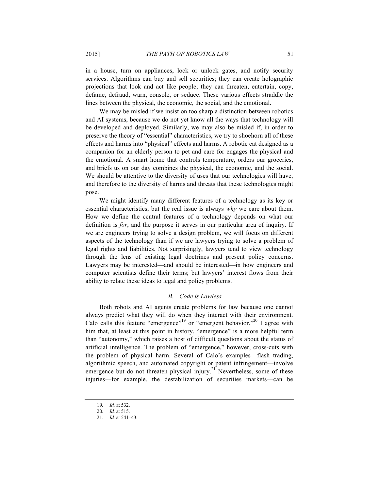in a house, turn on appliances, lock or unlock gates, and notify security services. Algorithms can buy and sell securities; they can create holographic projections that look and act like people; they can threaten, entertain, copy, defame, defraud, warn, console, or seduce. These various effects straddle the lines between the physical, the economic, the social, and the emotional.

We may be misled if we insist on too sharp a distinction between robotics and AI systems, because we do not yet know all the ways that technology will be developed and deployed. Similarly, we may also be misled if, in order to preserve the theory of "essential" characteristics, we try to shoehorn all of these effects and harms into "physical" effects and harms. A robotic cat designed as a companion for an elderly person to pet and care for engages the physical and the emotional. A smart home that controls temperature, orders our groceries, and briefs us on our day combines the physical, the economic, and the social. We should be attentive to the diversity of uses that our technologies will have, and therefore to the diversity of harms and threats that these technologies might pose.

We might identify many different features of a technology as its key or essential characteristics, but the real issue is always *why* we care about them. How we define the central features of a technology depends on what our definition is *for*, and the purpose it serves in our particular area of inquiry. If we are engineers trying to solve a design problem, we will focus on different aspects of the technology than if we are lawyers trying to solve a problem of legal rights and liabilities. Not surprisingly, lawyers tend to view technology through the lens of existing legal doctrines and present policy concerns. Lawyers may be interested—and should be interested—in how engineers and computer scientists define their terms; but lawyers' interest flows from their ability to relate these ideas to legal and policy problems.

#### *B. Code is Lawless*

Both robots and AI agents create problems for law because one cannot always predict what they will do when they interact with their environment. Calo calls this feature "emergence"<sup>19</sup> or "emergent behavior."<sup>20</sup> I agree with him that, at least at this point in history, "emergence" is a more helpful term than "autonomy," which raises a host of difficult questions about the status of artificial intelligence. The problem of "emergence," however, cross-cuts with the problem of physical harm. Several of Calo's examples—flash trading, algorithmic speech, and automated copyright or patent infringement—involve emergence but do not threaten physical injury.<sup>21</sup> Nevertheless, some of these injuries—for example, the destabilization of securities markets—can be

<sup>19</sup>*. Id.* at 532.

<sup>20</sup>*. Id.* at 515.

<sup>21</sup>*. Id.* at 541–43.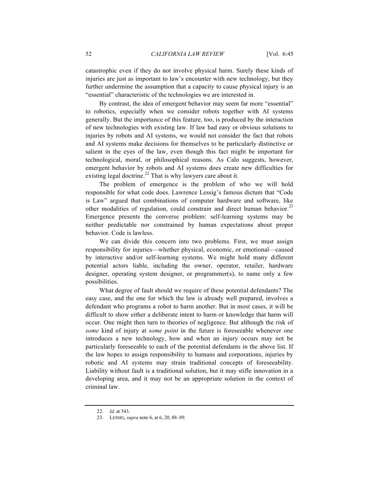catastrophic even if they do not involve physical harm. Surely these kinds of injuries are just as important to law's encounter with new technology, but they further undermine the assumption that a capacity to cause physical injury is an "essential" characteristic of the technologies we are interested in.

By contrast, the idea of emergent behavior may seem far more "essential" to robotics, especially when we consider robots together with AI systems generally. But the importance of this feature, too, is produced by the interaction of new technologies with existing law. If law had easy or obvious solutions to injuries by robots and AI systems, we would not consider the fact that robots and AI systems make decisions for themselves to be particularly distinctive or salient in the eyes of the law, even though this fact might be important for technological, moral, or philosophical reasons. As Calo suggests, however, emergent behavior by robots and AI systems does create new difficulties for existing legal doctrine.<sup>22</sup> That is why lawyers care about it.

The problem of emergence is the problem of who we will hold responsible for what code does. Lawrence Lessig's famous dictum that "Code is Law" argued that combinations of computer hardware and software, like other modalities of regulation, could constrain and direct human behavior.<sup>23</sup> Emergence presents the converse problem: self-learning systems may be neither predictable nor constrained by human expectations about proper behavior. Code is lawless.

We can divide this concern into two problems. First, we must assign responsibility for injuries—whether physical, economic, or emotional—caused by interactive and/or self-learning systems. We might hold many different potential actors liable, including the owner, operator, retailer, hardware designer, operating system designer, or programmer(s), to name only a few possibilities.

What degree of fault should we require of these potential defendants? The easy case, and the one for which the law is already well prepared, involves a defendant who programs a robot to harm another. But in most cases, it will be difficult to show either a deliberate intent to harm or knowledge that harm will occur. One might then turn to theories of negligence. But although the risk of *some* kind of injury at *some point* in the future is foreseeable whenever one introduces a new technology, how and when an injury occurs may not be particularly foreseeable to each of the potential defendants in the above list. If the law hopes to assign responsibility to humans and corporations, injuries by robotic and AI systems may strain traditional concepts of foreseeability. Liability without fault is a traditional solution, but it may stifle innovation in a developing area, and it may not be an appropriate solution in the context of criminal law.

<sup>22</sup>*. Id.* at 543.

<sup>23.</sup> LESSIG, *supra* note 6, at 6, 20, 88–89.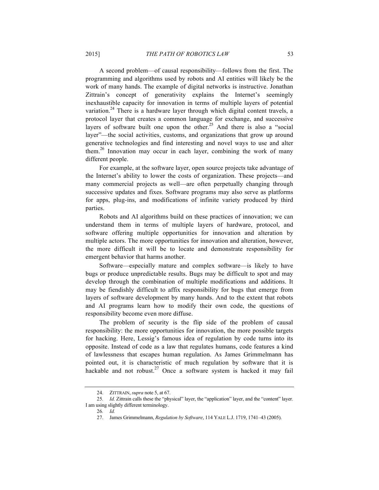A second problem—of causal responsibility—follows from the first. The programming and algorithms used by robots and AI entities will likely be the work of many hands. The example of digital networks is instructive. Jonathan Zittrain's concept of generativity explains the Internet's seemingly inexhaustible capacity for innovation in terms of multiple layers of potential variation.<sup>24</sup> There is a hardware layer through which digital content travels, a protocol layer that creates a common language for exchange, and successive layers of software built one upon the other.<sup>25</sup> And there is also a "social" layer"—the social activities, customs, and organizations that grow up around generative technologies and find interesting and novel ways to use and alter them.<sup>26</sup> Innovation may occur in each layer, combining the work of many different people.

For example, at the software layer, open source projects take advantage of the Internet's ability to lower the costs of organization. These projects—and many commercial projects as well—are often perpetually changing through successive updates and fixes. Software programs may also serve as platforms for apps, plug-ins, and modifications of infinite variety produced by third parties.

Robots and AI algorithms build on these practices of innovation; we can understand them in terms of multiple layers of hardware, protocol, and software offering multiple opportunities for innovation and alteration by multiple actors. The more opportunities for innovation and alteration, however, the more difficult it will be to locate and demonstrate responsibility for emergent behavior that harms another.

Software—especially mature and complex software—is likely to have bugs or produce unpredictable results. Bugs may be difficult to spot and may develop through the combination of multiple modifications and additions. It may be fiendishly difficult to affix responsibility for bugs that emerge from layers of software development by many hands. And to the extent that robots and AI programs learn how to modify their own code, the questions of responsibility become even more diffuse.

The problem of security is the flip side of the problem of causal responsibility: the more opportunities for innovation, the more possible targets for hacking. Here, Lessig's famous idea of regulation by code turns into its opposite. Instead of code as a law that regulates humans, code features a kind of lawlessness that escapes human regulation. As James Grimmelmann has pointed out, it is characteristic of much regulation by software that it is hackable and not robust.<sup>27</sup> Once a software system is hacked it may fail

<sup>24.</sup> ZITTRAIN, *supra* note 5, at 67.

<sup>25</sup>*. Id.* Zittrain calls these the "physical" layer, the "application" layer, and the "content" layer. I am using slightly different terminology.

<sup>26</sup>*. Id.*

<sup>27.</sup> James Grimmelmann, *Regulation by Software*, 114 YALE L.J. 1719, 1741–43 (2005).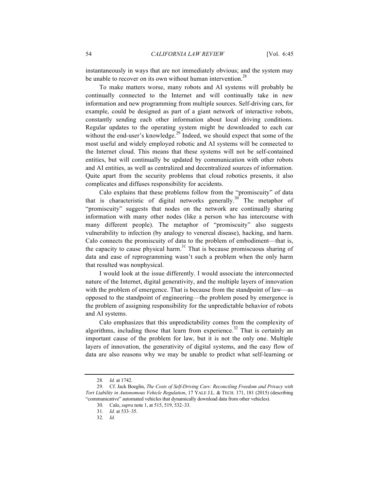instantaneously in ways that are not immediately obvious; and the system may be unable to recover on its own without human intervention.<sup>28</sup>

To make matters worse, many robots and AI systems will probably be continually connected to the Internet and will continually take in new information and new programming from multiple sources. Self-driving cars, for example, could be designed as part of a giant network of interactive robots, constantly sending each other information about local driving conditions. Regular updates to the operating system might be downloaded to each car without the end-user's knowledge.<sup>29</sup> Indeed, we should expect that some of the most useful and widely employed robotic and AI systems will be connected to the Internet cloud. This means that these systems will not be self-contained entities, but will continually be updated by communication with other robots and AI entities, as well as centralized and decentralized sources of information. Quite apart from the security problems that cloud robotics presents, it also complicates and diffuses responsibility for accidents.

Calo explains that these problems follow from the "promiscuity" of data that is characteristic of digital networks generally.<sup>30</sup> The metaphor of "promiscuity" suggests that nodes on the network are continually sharing information with many other nodes (like a person who has intercourse with many different people). The metaphor of "promiscuity" also suggests vulnerability to infection (by analogy to venereal disease), hacking, and harm. Calo connects the promiscuity of data to the problem of embodiment—that is, the capacity to cause physical harm.<sup>31</sup> That is because promiscuous sharing of data and ease of reprogramming wasn't such a problem when the only harm that resulted was nonphysical.

I would look at the issue differently. I would associate the interconnected nature of the Internet, digital generativity, and the multiple layers of innovation with the problem of emergence. That is because from the standpoint of law—as opposed to the standpoint of engineering—the problem posed by emergence is the problem of assigning responsibility for the unpredictable behavior of robots and AI systems.

Calo emphasizes that this unpredictability comes from the complexity of algorithms, including those that learn from experience.<sup>32</sup> That is certainly an important cause of the problem for law, but it is not the only one. Multiple layers of innovation, the generativity of digital systems, and the easy flow of data are also reasons why we may be unable to predict what self-learning or

32*. Id.*

<sup>28</sup>*. Id.* at 1742.

<sup>29.</sup> Cf. Jack Boeglin, *The Costs of Self-Driving Cars: Reconciling Freedom and Privacy with Tort Liability in Autonomous Vehicle Regulation*, 17 YALE J.L. & TECH. 171, 181 (2015) (describing "communicative" automated vehicles that dynamically download data from other vehicles).

<sup>30.</sup> Calo, *supra* note 1, at 515, 519, 532–33.

<sup>31</sup>*. Id.* at 533–35.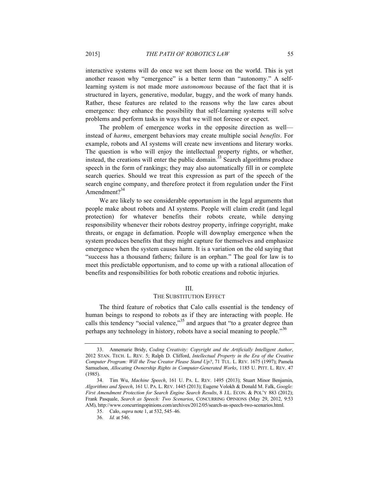interactive systems will do once we set them loose on the world. This is yet another reason why "emergence" is a better term than "autonomy." A selflearning system is not made more *autonomous* because of the fact that it is structured in layers, generative, modular, buggy, and the work of many hands. Rather, these features are related to the reasons why the law cares about emergence: they enhance the possibility that self-learning systems will solve problems and perform tasks in ways that we will not foresee or expect.

The problem of emergence works in the opposite direction as well instead of *harms*, emergent behaviors may create multiple social *benefits*. For example, robots and AI systems will create new inventions and literary works. The question is who will enjoy the intellectual property rights, or whether, instead, the creations will enter the public domain.<sup> $33$ </sup> Search algorithms produce speech in the form of rankings; they may also automatically fill in or complete search queries. Should we treat this expression as part of the speech of the search engine company, and therefore protect it from regulation under the First Amendment $2^{34}$ 

We are likely to see considerable opportunism in the legal arguments that people make about robots and AI systems. People will claim credit (and legal protection) for whatever benefits their robots create, while denying responsibility whenever their robots destroy property, infringe copyright, make threats, or engage in defamation. People will downplay emergence when the system produces benefits that they might capture for themselves and emphasize emergence when the system causes harm. It is a variation on the old saying that "success has a thousand fathers; failure is an orphan." The goal for law is to meet this predictable opportunism, and to come up with a rational allocation of benefits and responsibilities for both robotic creations and robotic injuries.

#### III.

#### THE SUBSTITUTION EFFECT

The third feature of robotics that Calo calls essential is the tendency of human beings to respond to robots as if they are interacting with people. He calls this tendency "social valence,"<sup>35</sup> and argues that "to a greater degree than perhaps any technology in history, robots have a social meaning to people."<sup>36</sup>

<sup>33.</sup> Annemarie Bridy, *Coding Creativity: Copyright and the Artificially Intelligent Author*, 2012 STAN. TECH. L. REV. 5; Ralph D. Clifford, *Intellectual Property in the Era of the Creative Computer Program: Will the True Creator Please Stand Up?*, 71 TUL. L. REV. 1675 (1997); Pamela Samuelson, *Allocating Ownership Rights in Computer-Generated Works*, 1185 U. PITT. L. REV. 47 (1985).

<sup>34.</sup> Tim Wu, *Machine Speech*, 161 U. PA. L. REV. 1495 (2013); Stuart Minor Benjamin, *Algorithms and Speech*, 161 U. PA. L. REV. 1445 (2013); Eugene Volokh & Donald M. Falk, *Google: First Amendment Protection for Search Engine Search Results*, 8 J.L. ECON. & POL'Y 883 (2012); Frank Pasquale, *Search as Speech: Two Scenarios*, CONCURRING OPINIONS (May 29, 2012, 9:53 AM), http://www.concurringopinions.com/archives/2012/05/search-as-speech-two-scenarios.html.

<sup>35.</sup> Calo, *supra* note 1, at 532, 545–46.

<sup>36</sup>*. Id.* at 546.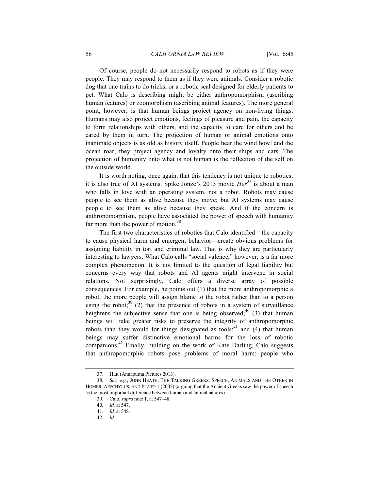Of course, people do not necessarily respond to robots as if they were people. They may respond to them as if they were animals. Consider a robotic dog that one trains to do tricks, or a robotic seal designed for elderly patients to pet. What Calo is describing might be either anthropomorphism (ascribing human features) or zoomorphism (ascribing animal features). The more general point, however, is that human beings project agency on non-living things. Humans may also project emotions, feelings of pleasure and pain, the capacity to form relationships with others, and the capacity to care for others and be cared by them in turn. The projection of human or animal emotions onto inanimate objects is as old as history itself. People hear the wind howl and the ocean roar; they project agency and loyalty onto their ships and cars. The projection of humanity onto what is not human is the reflection of the self on the outside world.

It is worth noting, once again, that this tendency is not unique to robotics; it is also true of AI systems. Spike Jonze's 2013 movie *Her*<sup>37</sup> is about a man who falls in love with an operating system, not a robot. Robots may cause people to see them as alive because they move; but AI systems may cause people to see them as alive because they speak. And if the concern is anthropomorphism, people have associated the power of speech with humanity far more than the power of motion.<sup>38</sup>

The first two characteristics of robotics that Calo identified—the capacity to cause physical harm and emergent behavior—create obvious problems for assigning liability in tort and criminal law. That is why they are particularly interesting to lawyers. What Calo calls "social valence," however, is a far more complex phenomenon. It is not limited to the question of legal liability but concerns every way that robots and AI agents might intervene in social relations. Not surprisingly, Calo offers a diverse array of possible consequences. For example, he points out (1) that the more anthropomorphic a robot, the more people will assign blame to the robot rather than to a person using the robot;<sup>39</sup> (2) that the presence of robots in a system of surveillance heightens the subjective sense that one is being observed;  $^{40}$  (3) that human beings will take greater risks to preserve the integrity of anthropomorphic robots than they would for things designated as tools;<sup>41</sup> and (4) that human beings may suffer distinctive emotional harms for the loss of robotic companions.42 Finally, building on the work of Kate Darling, Calo suggests that anthropomorphic robots pose problems of moral harm: people who

42*. Id.*

<sup>37.</sup> HER (Annapurna Pictures 2013).

<sup>38</sup>*. See, e.g.*, JOHN HEATH, THE TALKING GREEKS: SPEECH, ANIMALS AND THE OTHER IN HOMER, AESCHYLUS, AND PLATO 1 (2005) (arguing that the Ancient Greeks saw the power of speech as the most important difference between human and animal natures).

<sup>39.</sup> Calo, *supra* note 1, at 547–48.

<sup>40</sup>*. Id.* at 547.

<sup>41</sup>*. Id.* at 548.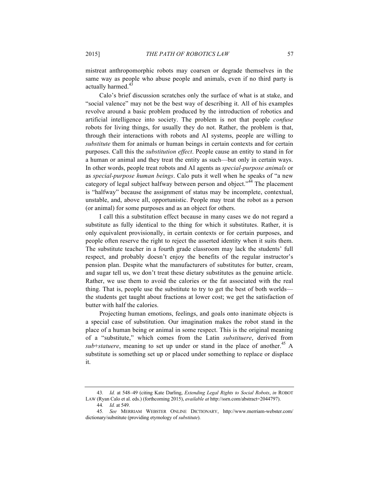mistreat anthropomorphic robots may coarsen or degrade themselves in the same way as people who abuse people and animals, even if no third party is actually harmed.<sup>43</sup>

Calo's brief discussion scratches only the surface of what is at stake, and "social valence" may not be the best way of describing it. All of his examples revolve around a basic problem produced by the introduction of robotics and artificial intelligence into society. The problem is not that people *confuse* robots for living things, for usually they do not. Rather, the problem is that, through their interactions with robots and AI systems, people are willing to *substitute* them for animals or human beings in certain contexts and for certain purposes. Call this the *substitution effect*. People cause an entity to stand in for a human or animal and they treat the entity as such—but only in certain ways. In other words, people treat robots and AI agents as *special-purpose animals* or as *special-purpose human beings*. Calo puts it well when he speaks of "a new category of legal subject halfway between person and object."<sup>44</sup> The placement is "halfway" because the assignment of status may be incomplete, contextual, unstable, and, above all, opportunistic. People may treat the robot as a person (or animal) for some purposes and as an object for others.

I call this a substitution effect because in many cases we do not regard a substitute as fully identical to the thing for which it substitutes. Rather, it is only equivalent provisionally, in certain contexts or for certain purposes, and people often reserve the right to reject the asserted identity when it suits them. The substitute teacher in a fourth grade classroom may lack the students' full respect, and probably doesn't enjoy the benefits of the regular instructor's pension plan. Despite what the manufacturers of substitutes for butter, cream, and sugar tell us, we don't treat these dietary substitutes as the genuine article. Rather, we use them to avoid the calories or the fat associated with the real thing. That is, people use the substitute to try to get the best of both worlds the students get taught about fractions at lower cost; we get the satisfaction of butter with half the calories.

Projecting human emotions, feelings, and goals onto inanimate objects is a special case of substitution. Our imagination makes the robot stand in the place of a human being or animal in some respect. This is the original meaning of a "substitute," which comes from the Latin *substituere*, derived from  $sub\text{-}statuere$ , meaning to set up under or stand in the place of another.<sup>45</sup> A substitute is something set up or placed under something to replace or displace it.

<sup>43</sup>*. Id.* at 548–49 (citing Kate Darling, *Extending Legal Rights to Social Robots*, *in* ROBOT LAW (Ryan Calo et al. eds.) (forthcoming 2015), *available at* http://ssrn.com/abstract=2044797).

<sup>44</sup>*. Id.* at 549.

<sup>45</sup>*. See* MERRIAM WEBSTER ONLINE DICTIONARY, http://www.merriam-webster.com/ dictionary/substitute (providing etymology of *substitute*).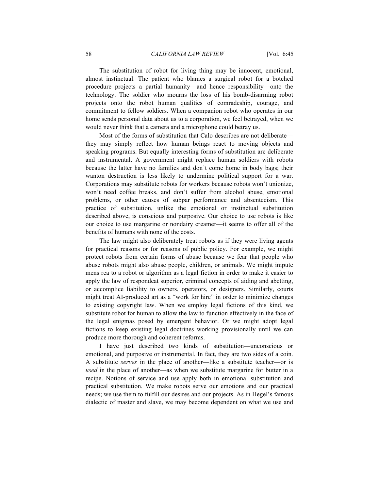The substitution of robot for living thing may be innocent, emotional, almost instinctual. The patient who blames a surgical robot for a botched procedure projects a partial humanity—and hence responsibility—onto the technology. The soldier who mourns the loss of his bomb-disarming robot projects onto the robot human qualities of comradeship, courage, and commitment to fellow soldiers. When a companion robot who operates in our home sends personal data about us to a corporation, we feel betrayed, when we would never think that a camera and a microphone could betray us.

Most of the forms of substitution that Calo describes are not deliberate they may simply reflect how human beings react to moving objects and speaking programs. But equally interesting forms of substitution are deliberate and instrumental. A government might replace human soldiers with robots because the latter have no families and don't come home in body bags; their wanton destruction is less likely to undermine political support for a war. Corporations may substitute robots for workers because robots won't unionize, won't need coffee breaks, and don't suffer from alcohol abuse, emotional problems, or other causes of subpar performance and absenteeism. This practice of substitution, unlike the emotional or instinctual substitution described above, is conscious and purposive. Our choice to use robots is like our choice to use margarine or nondairy creamer—it seems to offer all of the benefits of humans with none of the costs.

The law might also deliberately treat robots as if they were living agents for practical reasons or for reasons of public policy. For example, we might protect robots from certain forms of abuse because we fear that people who abuse robots might also abuse people, children, or animals. We might impute mens rea to a robot or algorithm as a legal fiction in order to make it easier to apply the law of respondeat superior, criminal concepts of aiding and abetting, or accomplice liability to owners, operators, or designers. Similarly, courts might treat AI-produced art as a "work for hire" in order to minimize changes to existing copyright law. When we employ legal fictions of this kind, we substitute robot for human to allow the law to function effectively in the face of the legal enigmas posed by emergent behavior. Or we might adopt legal fictions to keep existing legal doctrines working provisionally until we can produce more thorough and coherent reforms.

I have just described two kinds of substitution—unconscious or emotional, and purposive or instrumental. In fact, they are two sides of a coin. A substitute *serves* in the place of another—like a substitute teacher—or is *used* in the place of another—as when we substitute margarine for butter in a recipe. Notions of service and use apply both in emotional substitution and practical substitution. We make robots serve our emotions and our practical needs; we use them to fulfill our desires and our projects. As in Hegel's famous dialectic of master and slave, we may become dependent on what we use and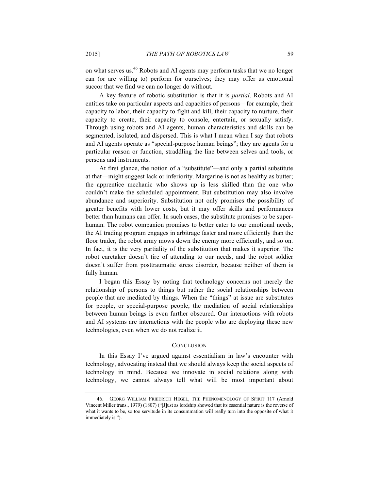on what serves us.46 Robots and AI agents may perform tasks that we no longer can (or are willing to) perform for ourselves; they may offer us emotional succor that we find we can no longer do without.

A key feature of robotic substitution is that it is *partial*. Robots and AI entities take on particular aspects and capacities of persons—for example, their capacity to labor, their capacity to fight and kill, their capacity to nurture, their capacity to create, their capacity to console, entertain, or sexually satisfy. Through using robots and AI agents, human characteristics and skills can be segmented, isolated, and dispersed. This is what I mean when I say that robots and AI agents operate as "special-purpose human beings"; they are agents for a particular reason or function, straddling the line between selves and tools, or persons and instruments.

At first glance, the notion of a "substitute"—and only a partial substitute at that—might suggest lack or inferiority. Margarine is not as healthy as butter; the apprentice mechanic who shows up is less skilled than the one who couldn't make the scheduled appointment. But substitution may also involve abundance and superiority. Substitution not only promises the possibility of greater benefits with lower costs, but it may offer skills and performances better than humans can offer. In such cases, the substitute promises to be superhuman. The robot companion promises to better cater to our emotional needs, the AI trading program engages in arbitrage faster and more efficiently than the floor trader, the robot army mows down the enemy more efficiently, and so on. In fact, it is the very partiality of the substitution that makes it superior. The robot caretaker doesn't tire of attending to our needs, and the robot soldier doesn't suffer from posttraumatic stress disorder, because neither of them is fully human.

I began this Essay by noting that technology concerns not merely the relationship of persons to things but rather the social relationships between people that are mediated by things. When the "things" at issue are substitutes for people, or special-purpose people, the mediation of social relationships between human beings is even further obscured. Our interactions with robots and AI systems are interactions with the people who are deploying these new technologies, even when we do not realize it.

#### **CONCLUSION**

In this Essay I've argued against essentialism in law's encounter with technology, advocating instead that we should always keep the social aspects of technology in mind. Because we innovate in social relations along with technology, we cannot always tell what will be most important about

<sup>46.</sup> GEORG WILLIAM FRIEDRICH HEGEL, THE PHENOMENOLOGY OF SPIRIT 117 (Arnold Vincent Miller trans., 1979) (1807) ("[J]ust as lordship showed that its essential nature is the reverse of what it wants to be, so too servitude in its consummation will really turn into the opposite of what it immediately is.").